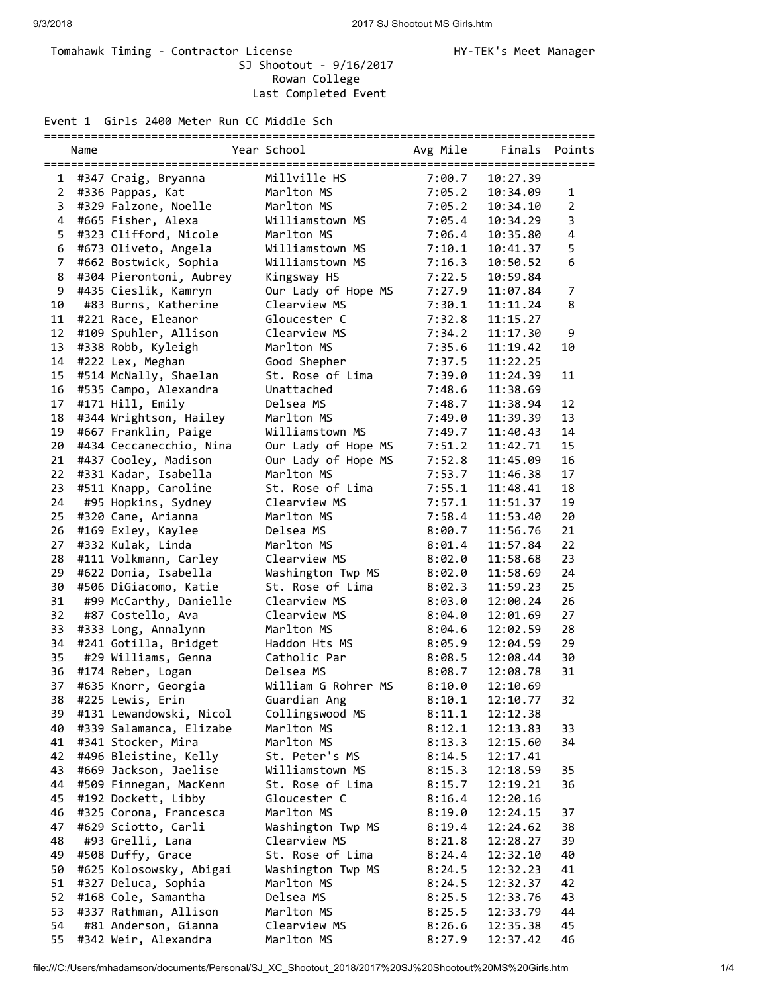# Tomahawk Timing - Contractor License Manager Manager HY-TEK's Meet Manager SJ Shootout - 9/16/2017 Rowan College Last Completed Event

Event 1 Girls 2400 Meter Run CC Middle Sch

|                         | Name |                                                    | Year School                   | Avg Mile         | Finals Points        |                         |
|-------------------------|------|----------------------------------------------------|-------------------------------|------------------|----------------------|-------------------------|
| 1                       |      | #347 Craig, Bryanna                                | Millville HS                  | 7:00.7           | 10:27.39             |                         |
| 2                       |      | #336 Pappas, Kat                                   | Marlton MS                    | 7:05.2           | 10:34.09             | 1                       |
| 3                       |      | #329 Falzone, Noelle                               | Marlton MS                    | 7:05.2           | 10:34.10             | $\overline{2}$          |
| $\overline{\mathbf{4}}$ |      | #665 Fisher, Alexa                                 | Williamstown MS               | 7:05.4           | 10:34.29             | 3                       |
| 5                       |      | #323 Clifford, Nicole                              | Marlton MS                    | 7:06.4           | 10:35.80             | $\overline{\mathbf{4}}$ |
| 6                       |      | #673 Oliveto, Angela                               | Williamstown MS               | 7:10.1           | 10:41.37             | 5                       |
| $\overline{7}$          |      | #662 Bostwick, Sophia                              | Williamstown MS               | 7:16.3           | 10:50.52             | 6                       |
| 8                       |      | #304 Pierontoni, Aubrey                            | Kingsway HS                   | 7:22.5           | 10:59.84             |                         |
| 9                       |      | #435 Cieslik, Kamryn                               | Our Lady of Hope MS           | 7:27.9           | 11:07.84             | 7                       |
| 10                      |      | #83 Burns, Katherine                               | Clearview MS                  | 7:30.1           | 11:11.24             | 8                       |
| 11                      |      | #221 Race, Eleanor                                 | Gloucester C                  | 7:32.8           | 11:15.27             |                         |
| 12                      |      | #109 Spuhler, Allison                              | Clearview MS                  | 7:34.2           | 11:17.30             | 9                       |
| 13                      |      | #338 Robb, Kyleigh                                 | Marlton MS                    | 7:35.6           | 11:19.42             | 10                      |
| 14                      |      | #222 Lex, Meghan                                   | Good Shepher                  | 7:37.5           | 11:22.25             |                         |
| 15                      |      | #514 McNally, Shaelan                              | St. Rose of Lima              | 7:39.0           | 11:24.39             | 11                      |
| 16                      |      | #535 Campo, Alexandra                              | Unattached                    | 7:48.6           | 11:38.69             |                         |
| 17                      |      | #171 Hill, Emily                                   | Delsea MS                     | 7:48.7           | 11:38.94             | 12                      |
| 18                      |      | #344 Wrightson, Hailey                             | Marlton MS                    | 7:49.0           | 11:39.39             | 13                      |
| 19                      |      | #667 Franklin, Paige                               | Williamstown MS               | 7:49.7           | 11:40.43             | 14                      |
| 20                      |      | #434 Ceccanecchio, Nina                            | Our Lady of Hope MS           | 7:51.2           | 11:42.71             | 15                      |
| 21                      |      | #437 Cooley, Madison                               | Our Lady of Hope MS           | 7:52.8           | 11:45.09             | 16                      |
| 22                      |      | #331 Kadar, Isabella                               | Marlton MS                    | 7:53.7           | 11:46.38             | 17                      |
| 23                      |      | #511 Knapp, Caroline                               | St. Rose of Lima              | 7:55.1           | 11:48.41             | 18                      |
| 24                      |      | #95 Hopkins, Sydney                                | Clearview MS                  | 7:57.1           | 11:51.37             | 19                      |
| 25                      |      | #320 Cane, Arianna                                 | Marlton MS                    | 7:58.4           | 11:53.40             | 20                      |
| 26                      |      | #169 Exley, Kaylee                                 | Delsea MS                     | 8:00.7           | 11:56.76             | 21                      |
| 27                      |      | #332 Kulak, Linda                                  | Marlton MS                    | 8:01.4           | 11:57.84             | 22                      |
| 28                      |      | #111 Volkmann, Carley                              | Clearview MS                  | 8:02.0           | 11:58.68             | 23                      |
| 29                      |      | #622 Donia, Isabella                               | Washington Twp MS             | 8:02.0           | 11:58.69             | 24                      |
| 30                      |      | #506 DiGiacomo, Katie                              | St. Rose of Lima              | 8:02.3           | 11:59.23             | 25                      |
| 31                      |      | #99 McCarthy, Danielle                             | Clearview MS                  | 8:03.0           | 12:00.24             | 26                      |
| 32                      |      | #87 Costello, Ava                                  | Clearview MS                  | 8:04.0           | 12:01.69             | 27                      |
| 33                      |      | #333 Long, Annalynn                                | Marlton MS                    | 8:04.6           | 12:02.59             | 28                      |
| 34                      |      | #241 Gotilla, Bridget                              | Haddon Hts MS                 | 8:05.9           | 12:04.59             | 29                      |
| 35                      |      | #29 Williams, Genna                                | Catholic Par                  | 8:08.5           | 12:08.44             | 30                      |
| 36                      |      | #174 Reber, Logan                                  | Delsea MS                     | 8:08.7           | 12:08.78             | 31                      |
| 37                      |      | #635 Knorr, Georgia                                | William G Rohrer MS           | 8:10.0           | 12:10.69             |                         |
| 38                      |      | #225 Lewis, Erin                                   | Guardian Ang                  | 8:10.1           | 12:10.77             | 32                      |
| 39<br>40                |      | #131 Lewandowski, Nicol<br>#339 Salamanca, Elizabe | Collingswood MS<br>Marlton MS | 8:11.1           | 12:12.38             | 33                      |
| 41                      |      | #341 Stocker, Mira                                 | Marlton MS                    | 8:12.1<br>8:13.3 | 12:13.83<br>12:15.60 | 34                      |
| 42                      |      | #496 Bleistine, Kelly                              | St. Peter's MS                | 8:14.5           | 12:17.41             |                         |
| 43                      |      | #669 Jackson, Jaelise                              | Williamstown MS               | 8:15.3           | 12:18.59             | 35                      |
| 44                      |      | #509 Finnegan, MacKenn                             | St. Rose of Lima              | 8:15.7           | 12:19.21             | 36                      |
| 45                      |      | #192 Dockett, Libby                                | Gloucester C                  | 8:16.4           | 12:20.16             |                         |
| 46                      |      | #325 Corona, Francesca                             | Marlton MS                    | 8:19.0           | 12:24.15             | 37                      |
| 47                      |      | #629 Sciotto, Carli                                | Washington Twp MS             | 8:19.4           | 12:24.62             | 38                      |
| 48                      |      | #93 Grelli, Lana                                   | Clearview MS                  | 8:21.8           | 12:28.27             | 39                      |
| 49                      |      | #508 Duffy, Grace                                  | St. Rose of Lima              | 8:24.4           | 12:32.10             | 40                      |
| 50                      |      | #625 Kolosowsky, Abigai                            | Washington Twp MS             | 8:24.5           | 12:32.23             | 41                      |
| 51                      |      | #327 Deluca, Sophia                                | Marlton MS                    | 8:24.5           | 12:32.37             | 42                      |
| 52                      |      | #168 Cole, Samantha                                | Delsea MS                     | 8:25.5           | 12:33.76             | 43                      |
| 53                      |      | #337 Rathman, Allison                              | Marlton MS                    | 8:25.5           | 12:33.79             | 44                      |
| 54                      |      | #81 Anderson, Gianna                               | Clearview MS                  | 8:26.6           | 12:35.38             | 45                      |
| 55                      |      | #342 Weir, Alexandra                               | Marlton MS                    | 8:27.9           | 12:37.42             | 46                      |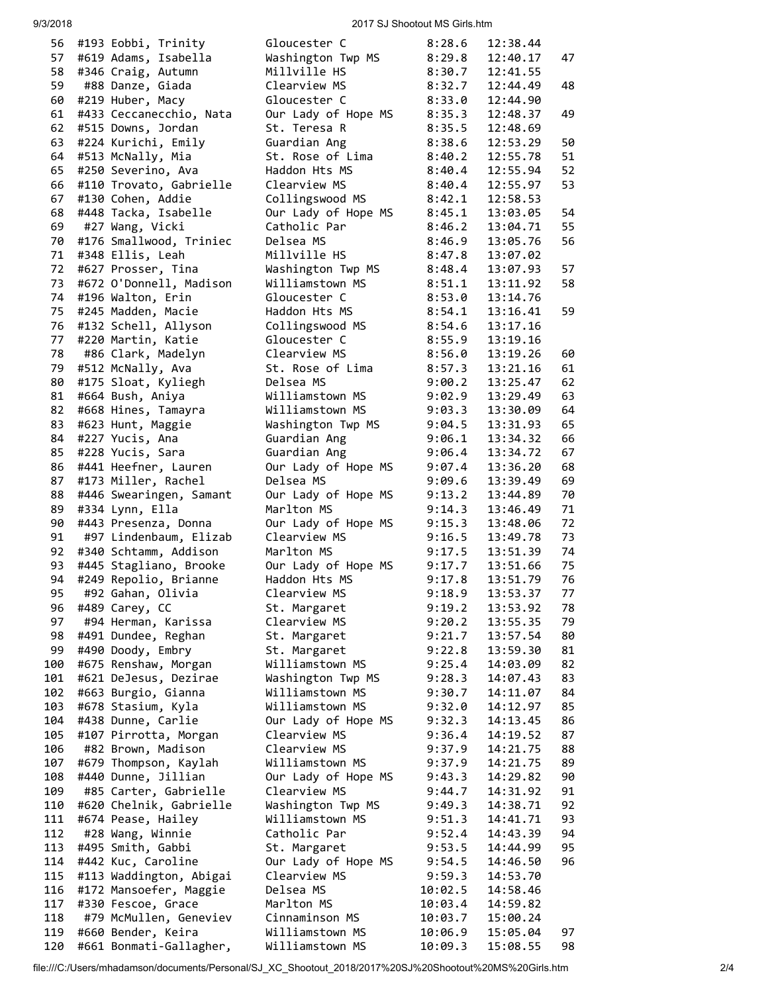## 9/3/2018 2017 SJ Shootout MS Girls.htm

| 56       | #193 Eobbi, Trinity                  | Gloucester C                      | 8:28.6           | 12:38.44             |          |
|----------|--------------------------------------|-----------------------------------|------------------|----------------------|----------|
| 57       | #619 Adams, Isabella                 | Washington Twp MS                 | 8:29.8           | 12:40.17             | 47       |
| 58       | #346 Craig, Autumn                   | Millville HS                      | 8:30.7           | 12:41.55             |          |
| 59       | #88 Danze, Giada                     | Clearview MS                      | 8:32.7           | 12:44.49             | 48       |
| 60       | #219 Huber, Macy                     | Gloucester C                      | 8:33.0           | 12:44.90             |          |
| 61       | #433 Ceccanecchio, Nata              | Our Lady of Hope MS               | 8:35.3           | 12:48.37             | 49       |
| 62       | #515 Downs, Jordan                   | St. Teresa R                      | 8:35.5           | 12:48.69             |          |
| 63       | #224 Kurichi, Emily                  | Guardian Ang                      | 8:38.6           | 12:53.29             | 50       |
| 64       | #513 McNally, Mia                    | St. Rose of Lima                  | 8:40.2           | 12:55.78             | 51       |
| 65       | #250 Severino, Ava                   | Haddon Hts MS                     | 8:40.4           | 12:55.94             | 52       |
| 66       | #110 Trovato, Gabrielle              | Clearview MS                      | 8:40.4           | 12:55.97             | 53       |
| 67       | #130 Cohen, Addie                    | Collingswood MS                   | 8:42.1           | 12:58.53             |          |
| 68       | #448 Tacka, Isabelle                 | Our Lady of Hope MS               | 8:45.1           | 13:03.05             | 54       |
| 69       | #27 Wang, Vicki                      | Catholic Par                      | 8:46.2           | 13:04.71             | 55       |
| 70       | #176 Smallwood, Triniec              | Delsea MS                         | 8:46.9           | 13:05.76             | 56       |
| 71       | #348 Ellis, Leah                     | Millville HS                      | 8:47.8           | 13:07.02             |          |
| 72       | #627 Prosser, Tina                   | Washington Twp MS                 | 8:48.4           | 13:07.93             | 57       |
| 73       | #672 O'Donnell, Madison              | Williamstown MS                   | 8:51.1           | 13:11.92             | 58       |
| 74       | #196 Walton, Erin                    | Gloucester C                      | 8:53.0           | 13:14.76             |          |
| 75       | #245 Madden, Macie                   | Haddon Hts MS                     | 8:54.1           | 13:16.41             | 59       |
| 76       | #132 Schell, Allyson                 | Collingswood MS                   | 8:54.6           | 13:17.16             |          |
| 77       | #220 Martin, Katie                   | Gloucester C                      | 8:55.9           | 13:19.16             |          |
| 78       | #86 Clark, Madelyn                   | Clearview MS                      | 8:56.0           | 13:19.26             | 60       |
| 79       | #512 McNally, Ava                    | St. Rose of Lima                  | 8:57.3           | 13:21.16             | 61       |
| 80       | #175 Sloat, Kyliegh                  | Delsea MS                         | 9:00.2           | 13:25.47             | 62       |
| 81<br>82 | #664 Bush, Aniya                     | Williamstown MS                   | 9:02.9           | 13:29.49             | 63       |
| 83       | #668 Hines, Tamayra                  | Williamstown MS                   | 9:03.3<br>9:04.5 | 13:30.09<br>13:31.93 | 64<br>65 |
| 84       | #623 Hunt, Maggie<br>#227 Yucis, Ana | Washington Twp MS<br>Guardian Ang | 9:06.1           | 13:34.32             | 66       |
| 85       | #228 Yucis, Sara                     | Guardian Ang                      | 9:06.4           | 13:34.72             | 67       |
| 86       | #441 Heefner, Lauren                 | Our Lady of Hope MS               | 9:07.4           | 13:36.20             | 68       |
| 87       | #173 Miller, Rachel                  | Delsea MS                         | 9:09.6           | 13:39.49             | 69       |
| 88       | #446 Swearingen, Samant              | Our Lady of Hope MS               | 9:13.2           | 13:44.89             | 70       |
| 89       | #334 Lynn, Ella                      | Marlton MS                        | 9:14.3           | 13:46.49             | 71       |
| 90       | #443 Presenza, Donna                 | Our Lady of Hope MS               | 9:15.3           | 13:48.06             | 72       |
| 91       | #97 Lindenbaum, Elizab               | Clearview MS                      | 9:16.5           | 13:49.78             | 73       |
| 92       | #340 Schtamm, Addison                | Marlton MS                        | 9:17.5           | 13:51.39             | 74       |
| 93       | #445 Stagliano, Brooke               | Our Lady of Hope MS               | 9:17.7           | 13:51.66             | 75       |
| 94       | #249 Repolio, Brianne                | Haddon Hts MS                     | 9:17.8           | 13:51.79             | 76       |
| 95       | #92 Gahan, Olivia                    | Clearview MS                      | 9:18.9           | 13:53.37             | 77       |
| 96       | #489 Carey, CC                       | St. Margaret                      | 9:19.2           | 13:53.92             | 78       |
| 97       | #94 Herman, Karissa                  | Clearview MS                      | 9:20.2           | 13:55.35             | 79       |
| 98       | #491 Dundee, Reghan                  | St. Margaret                      | 9:21.7           | 13:57.54             | 80       |
| 99       | #490 Doody, Embry                    | St. Margaret                      | 9:22.8           | 13:59.30             | 81       |
| 100      | #675 Renshaw, Morgan                 | Williamstown MS                   | 9:25.4           | 14:03.09             | 82       |
| 101      | #621 DeJesus, Dezirae                | Washington Twp MS                 | 9:28.3           | 14:07.43             | 83       |
| 102      | #663 Burgio, Gianna                  | Williamstown MS                   | 9:30.7           | 14:11.07             | 84       |
| 103      | #678 Stasium, Kyla                   | Williamstown MS                   | 9:32.0           | 14:12.97             | 85       |
| 104      | #438 Dunne, Carlie                   | Our Lady of Hope MS               | 9:32.3           | 14:13.45             | 86       |
| 105      | #107 Pirrotta, Morgan                | Clearview MS                      | 9:36.4           | 14:19.52             | 87       |
| 106      | #82 Brown, Madison                   | Clearview MS                      | 9:37.9           | 14:21.75             | 88       |
| 107      | #679 Thompson, Kaylah                | Williamstown MS                   | 9:37.9           | 14:21.75             | 89       |
| 108      | #440 Dunne, Jillian                  | Our Lady of Hope MS               | 9:43.3           | 14:29.82             | 90       |
| 109      | #85 Carter, Gabrielle                | Clearview MS                      | 9:44.7           | 14:31.92             | 91       |
| 110      | #620 Chelnik, Gabrielle              | Washington Twp MS                 | 9:49.3           | 14:38.71             | 92       |
| 111      | #674 Pease, Hailey                   | Williamstown MS                   | 9:51.3           | 14:41.71             | 93       |
| 112      | #28 Wang, Winnie                     | Catholic Par                      | 9:52.4           | 14:43.39             | 94       |
| 113      | #495 Smith, Gabbi                    | St. Margaret                      | 9:53.5           | 14:44.99             | 95       |
| 114      | #442 Kuc, Caroline                   | Our Lady of Hope MS               | 9:54.5           | 14:46.50             | 96       |
| 115      | #113 Waddington, Abigai              | Clearview MS                      | 9:59.3           | 14:53.70             |          |
| 116      | #172 Mansoefer, Maggie               | Delsea MS                         | 10:02.5          | 14:58.46             |          |
| 117      | #330 Fescoe, Grace                   | Marlton MS                        | 10:03.4          | 14:59.82             |          |
| 118      | #79 McMullen, Geneviev               | Cinnaminson MS                    | 10:03.7          | 15:00.24             |          |
| 119      | #660 Bender, Keira                   | Williamstown MS                   | 10:06.9          | 15:05.04             | 97       |
| 120      | #661 Bonmati-Gallagher,              | Williamstown MS                   | 10:09.3          | 15:08.55             | 98       |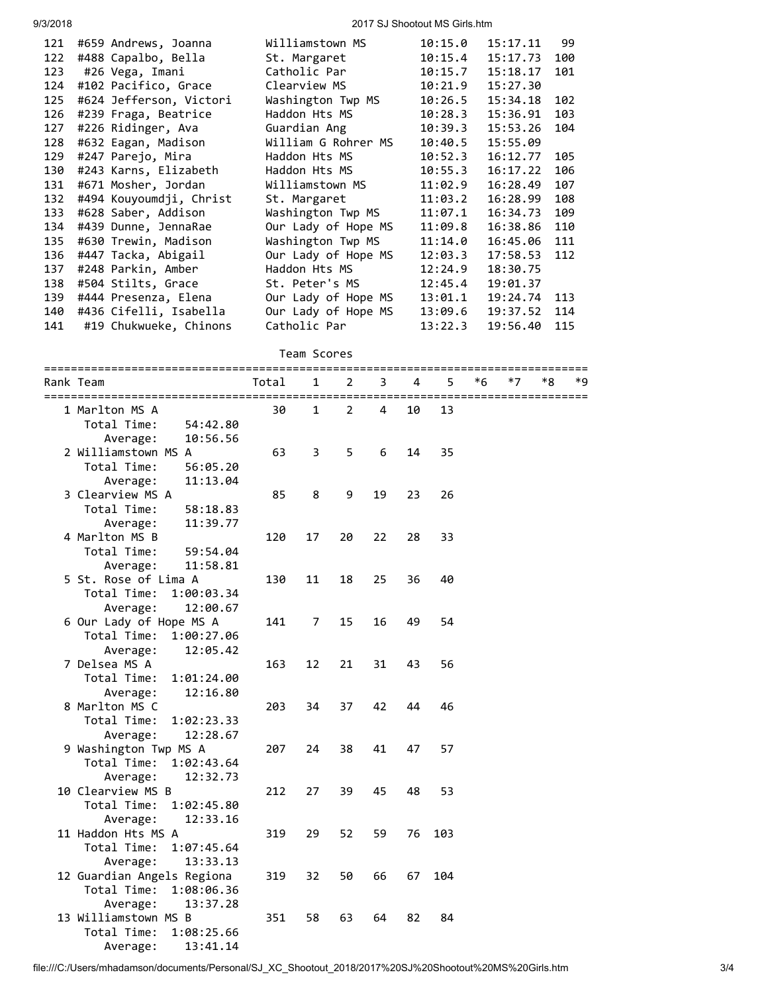### 9/3/2018 2017 SJ Shootout MS Girls.htm

| 121 | #659 Andrews, Joanna    | Williamstown MS     | 10:15.0 | 15:17.11 | 99  |
|-----|-------------------------|---------------------|---------|----------|-----|
| 122 | #488 Capalbo, Bella     | St. Margaret        | 10:15.4 | 15:17.73 | 100 |
| 123 | #26 Vega, Imani         | Catholic Par        | 10:15.7 | 15:18.17 | 101 |
| 124 | #102 Pacifico, Grace    | Clearview MS        | 10:21.9 | 15:27.30 |     |
| 125 | #624 Jefferson, Victori | Washington Twp MS   | 10:26.5 | 15:34.18 | 102 |
| 126 | #239 Fraga, Beatrice    | Haddon Hts MS       | 10:28.3 | 15:36.91 | 103 |
| 127 | #226 Ridinger, Ava      | Guardian Ang        | 10:39.3 | 15:53.26 | 104 |
| 128 | #632 Eagan, Madison     | William G Rohrer MS | 10:40.5 | 15:55.09 |     |
| 129 | #247 Parejo, Mira       | Haddon Hts MS       | 10:52.3 | 16:12.77 | 105 |
| 130 | #243 Karns, Elizabeth   | Haddon Hts MS       | 10:55.3 | 16:17.22 | 106 |
| 131 | #671 Mosher, Jordan     | Williamstown MS     | 11:02.9 | 16:28.49 | 107 |
| 132 | #494 Kouyoumdji, Christ | St. Margaret        | 11:03.2 | 16:28.99 | 108 |
| 133 | #628 Saber, Addison     | Washington Twp MS   | 11:07.1 | 16:34.73 | 109 |
| 134 | #439 Dunne, JennaRae    | Our Lady of Hope MS | 11:09.8 | 16:38.86 | 110 |
| 135 | #630 Trewin, Madison    | Washington Twp MS   | 11:14.0 | 16:45.06 | 111 |
| 136 | #447 Tacka, Abigail     | Our Lady of Hope MS | 12:03.3 | 17:58.53 | 112 |
| 137 | #248 Parkin, Amber      | Haddon Hts MS       | 12:24.9 | 18:30.75 |     |
| 138 | #504 Stilts, Grace      | St. Peter's MS      | 12:45.4 | 19:01.37 |     |
| 139 | #444 Presenza, Elena    | Our Lady of Hope MS | 13:01.1 | 19:24.74 | 113 |
| 140 | #436 Cifelli, Isabella  | Our Lady of Hope MS | 13:09.6 | 19:37.52 | 114 |
| 141 | #19 Chukwueke, Chinons  | Catholic Par        | 13:22.3 | 19:56.40 | 115 |

## Team Scores

| ================================ |                                   |       |    |    |    |    |     |    |      |    |    |
|----------------------------------|-----------------------------------|-------|----|----|----|----|-----|----|------|----|----|
|                                  | Rank Team<br>==================== | Total | 1  | 2  | 3  | 4  | 5   | *6 | $*7$ | *8 | *9 |
|                                  | 1 Marlton MS A                    | 30    | 1  | 2  | 4  | 10 | 13  |    |      |    |    |
|                                  | Total Time:<br>54:42.80           |       |    |    |    |    |     |    |      |    |    |
|                                  | 10:56.56<br>Average:              |       |    |    |    |    |     |    |      |    |    |
|                                  | 2 Williamstown MS A               | 63    | 3  | 5  | 6  | 14 | 35  |    |      |    |    |
|                                  | Total Time:<br>56:05.20           |       |    |    |    |    |     |    |      |    |    |
|                                  | 11:13.04<br>Average:              |       |    |    |    |    |     |    |      |    |    |
|                                  | 3 Clearview MS A                  | 85    | 8  | 9  | 19 | 23 | 26  |    |      |    |    |
|                                  | Total Time:<br>58:18.83           |       |    |    |    |    |     |    |      |    |    |
|                                  | Average:<br>11:39.77              |       |    |    |    |    |     |    |      |    |    |
|                                  | 4 Marlton MS B                    | 120   | 17 | 20 | 22 | 28 | 33  |    |      |    |    |
|                                  | Total Time:<br>59:54.04           |       |    |    |    |    |     |    |      |    |    |
|                                  | 11:58.81<br>Average:              |       |    |    |    |    |     |    |      |    |    |
|                                  | 5 St. Rose of Lima A              | 130   | 11 | 18 | 25 | 36 | 40  |    |      |    |    |
|                                  | Total Time:<br>1:00:03.34         |       |    |    |    |    |     |    |      |    |    |
|                                  | 12:00.67<br>Average:              |       |    |    |    |    |     |    |      |    |    |
|                                  | 6 Our Lady of Hope MS A           | 141   | 7  | 15 | 16 | 49 | 54  |    |      |    |    |
|                                  | Total Time:<br>1:00:27.06         |       |    |    |    |    |     |    |      |    |    |
|                                  | 12:05.42<br>Average:              |       |    |    |    |    |     |    |      |    |    |
|                                  | 7 Delsea MS A                     | 163   | 12 | 21 | 31 | 43 | 56  |    |      |    |    |
|                                  | Total Time:<br>1:01:24.00         |       |    |    |    |    |     |    |      |    |    |
|                                  | 12:16.80<br>Average:              |       |    |    |    |    |     |    |      |    |    |
|                                  | 8 Marlton MS C                    | 203   | 34 | 37 | 42 | 44 | 46  |    |      |    |    |
|                                  | Total Time:<br>1:02:23.33         |       |    |    |    |    |     |    |      |    |    |
|                                  | 12:28.67<br>Average:              |       |    |    |    |    |     |    |      |    |    |
|                                  | 9 Washington Twp MS A             | 207   | 24 | 38 | 41 | 47 | 57  |    |      |    |    |
|                                  | Total Time:<br>1:02:43.64         |       |    |    |    |    |     |    |      |    |    |
|                                  | 12:32.73<br>Average:              |       |    |    |    |    |     |    |      |    |    |
|                                  | 10 Clearview MS B                 | 212   | 27 | 39 | 45 | 48 | 53  |    |      |    |    |
|                                  | Total Time:<br>1:02:45.80         |       |    |    |    |    |     |    |      |    |    |
|                                  | 12:33.16<br>Average:              |       |    |    |    |    |     |    |      |    |    |
|                                  | 11 Haddon Hts MS A                | 319   | 29 | 52 | 59 | 76 | 103 |    |      |    |    |
|                                  | Total Time:<br>1:07:45.64         |       |    |    |    |    |     |    |      |    |    |
|                                  | Average:<br>13:33.13              |       |    |    |    |    |     |    |      |    |    |
|                                  | 12 Guardian Angels Regiona        | 319   | 32 | 50 | 66 | 67 | 104 |    |      |    |    |
|                                  | Total Time:<br>1:08:06.36         |       |    |    |    |    |     |    |      |    |    |
|                                  | 13:37.28<br>Average:              |       |    |    |    |    |     |    |      |    |    |
|                                  | 13 Williamstown MS B              | 351   | 58 | 63 | 64 | 82 | 84  |    |      |    |    |
|                                  | Total Time:<br>1:08:25.66         |       |    |    |    |    |     |    |      |    |    |
|                                  | 13:41.14<br>Average:              |       |    |    |    |    |     |    |      |    |    |